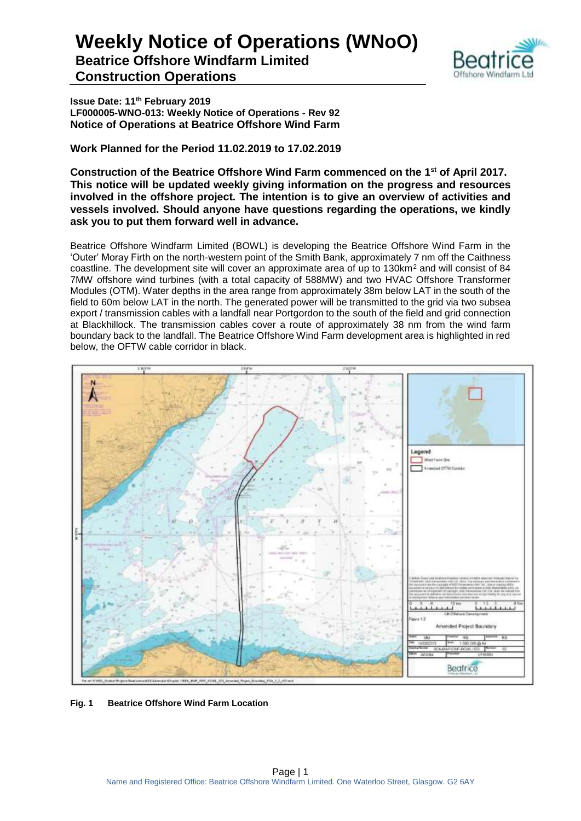

**Issue Date: 11th February 2019 LF000005-WNO-013: Weekly Notice of Operations - Rev 92 Notice of Operations at Beatrice Offshore Wind Farm**

**Work Planned for the Period 11.02.2019 to 17.02.2019**

**Construction of the Beatrice Offshore Wind Farm commenced on the 1 st of April 2017. This notice will be updated weekly giving information on the progress and resources involved in the offshore project. The intention is to give an overview of activities and vessels involved. Should anyone have questions regarding the operations, we kindly ask you to put them forward well in advance.** 

Beatrice Offshore Windfarm Limited (BOWL) is developing the Beatrice Offshore Wind Farm in the 'Outer' Moray Firth on the north-western point of the Smith Bank, approximately 7 nm off the Caithness coastline. The development site will cover an approximate area of up to 130km<sup>2</sup> and will consist of 84 7MW offshore wind turbines (with a total capacity of 588MW) and two HVAC Offshore Transformer Modules (OTM). Water depths in the area range from approximately 38m below LAT in the south of the field to 60m below LAT in the north. The generated power will be transmitted to the grid via two subsea export / transmission cables with a landfall near Portgordon to the south of the field and grid connection at Blackhillock. The transmission cables cover a route of approximately 38 nm from the wind farm boundary back to the landfall. The Beatrice Offshore Wind Farm development area is highlighted in red below, the OFTW cable corridor in black.



**Fig. 1 Beatrice Offshore Wind Farm Location**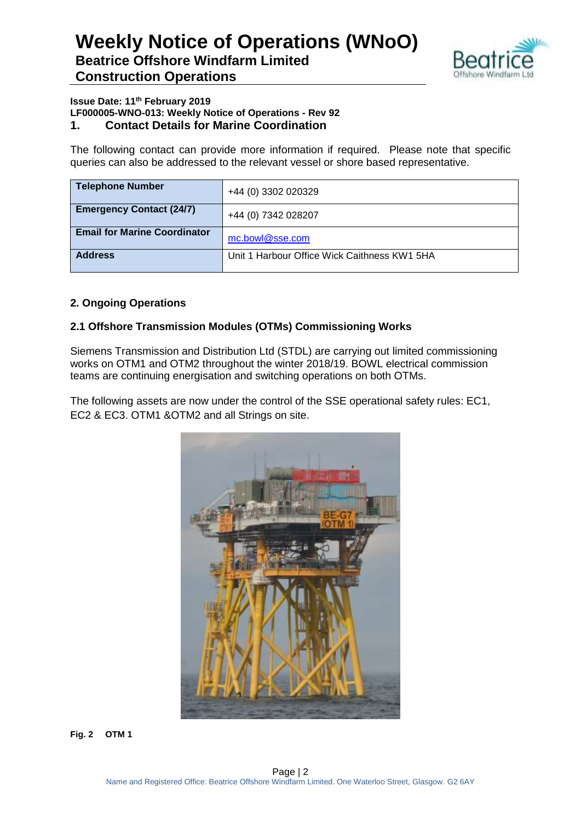

#### **Issue Date: 11th February 2019 LF000005-WNO-013: Weekly Notice of Operations - Rev 92 1. Contact Details for Marine Coordination**

The following contact can provide more information if required. Please note that specific queries can also be addressed to the relevant vessel or shore based representative.

| <b>Telephone Number</b>             | +44 (0) 3302 020329                          |
|-------------------------------------|----------------------------------------------|
| <b>Emergency Contact (24/7)</b>     | +44 (0) 7342 028207                          |
| <b>Email for Marine Coordinator</b> | mc.bowl@sse.com                              |
| <b>Address</b>                      | Unit 1 Harbour Office Wick Caithness KW1 5HA |

### **2. Ongoing Operations**

### **2.1 Offshore Transmission Modules (OTMs) Commissioning Works**

Siemens Transmission and Distribution Ltd (STDL) are carrying out limited commissioning works on OTM1 and OTM2 throughout the winter 2018/19. BOWL electrical commission teams are continuing energisation and switching operations on both OTMs.

The following assets are now under the control of the SSE operational safety rules: EC1, EC2 & EC3. OTM1 &OTM2 and all Strings on site.



**Fig. 2 OTM 1**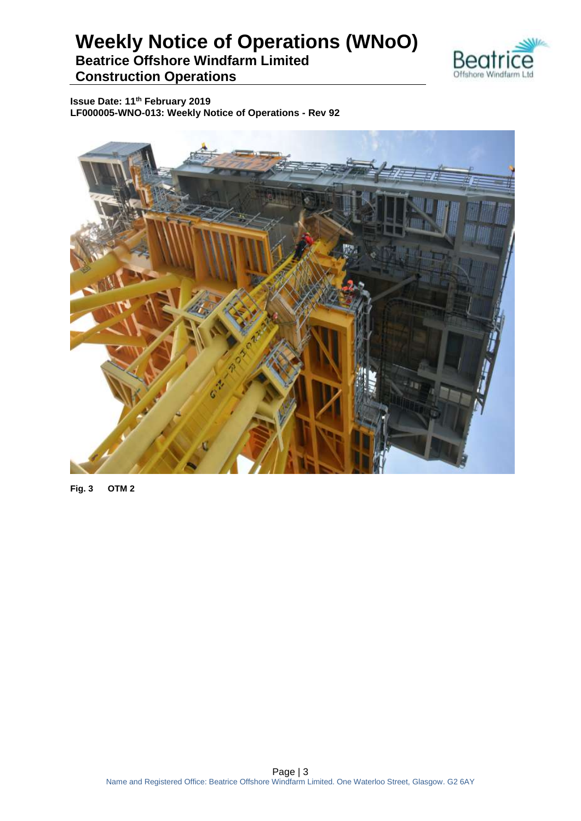

**Issue Date: 11th February 2019 LF000005-WNO-013: Weekly Notice of Operations - Rev 92**



**Fig. 3 OTM 2**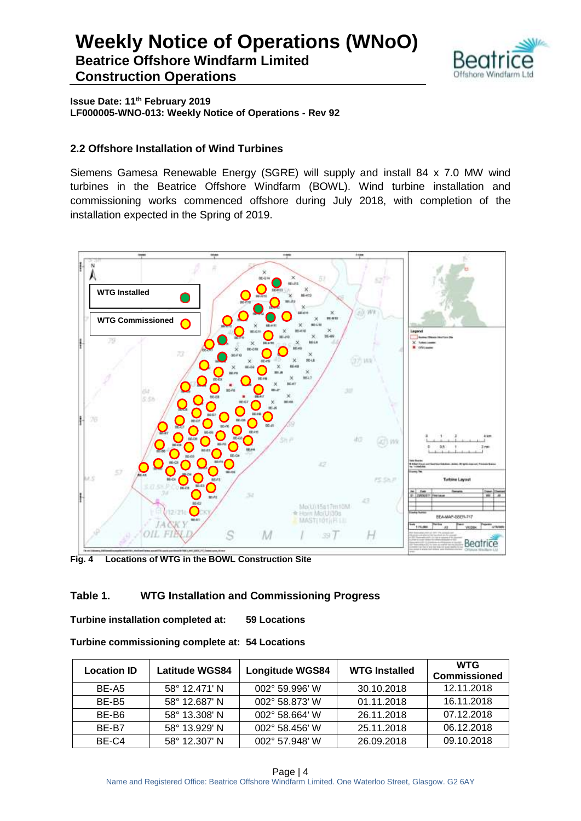

**Issue Date: 11th February 2019 LF000005-WNO-013: Weekly Notice of Operations - Rev 92**

### **2.2 Offshore Installation of Wind Turbines**

Siemens Gamesa Renewable Energy (SGRE) will supply and install 84 x 7.0 MW wind turbines in the Beatrice Offshore Windfarm (BOWL). Wind turbine installation and commissioning works commenced offshore during July 2018, with completion of the installation expected in the Spring of 2019.



**Fig. 4 Locations of WTG in the BOWL Construction Site**

### **Table 1. WTG Installation and Commissioning Progress**

**Turbine installation completed at: 59 Locations**

| Turbine commissioning complete at: 54 Locations |  |  |
|-------------------------------------------------|--|--|
|-------------------------------------------------|--|--|

| <b>Location ID</b> | <b>Latitude WGS84</b> | <b>Longitude WGS84</b> | <b>WTG Installed</b> | <b>WTG</b><br><b>Commissioned</b> |
|--------------------|-----------------------|------------------------|----------------------|-----------------------------------|
| BE-A5              | 58° 12.471' N         | 002° 59.996' W         | 30.10.2018           | 12.11.2018                        |
| BE-B <sub>5</sub>  | 58° 12.687' N         | 002° 58.873' W         | 01.11.2018           | 16.11.2018                        |
| BE-B6              | 58° 13.308' N         | 002° 58.664' W         | 26.11.2018           | 07.12.2018                        |
| BE-B7              | 58° 13.929' N         | 002° 58.456' W         | 25.11.2018           | 06.12.2018                        |
| BE-C4              | 58° 12.307' N         | 002° 57.948' W         | 26.09.2018           | 09.10.2018                        |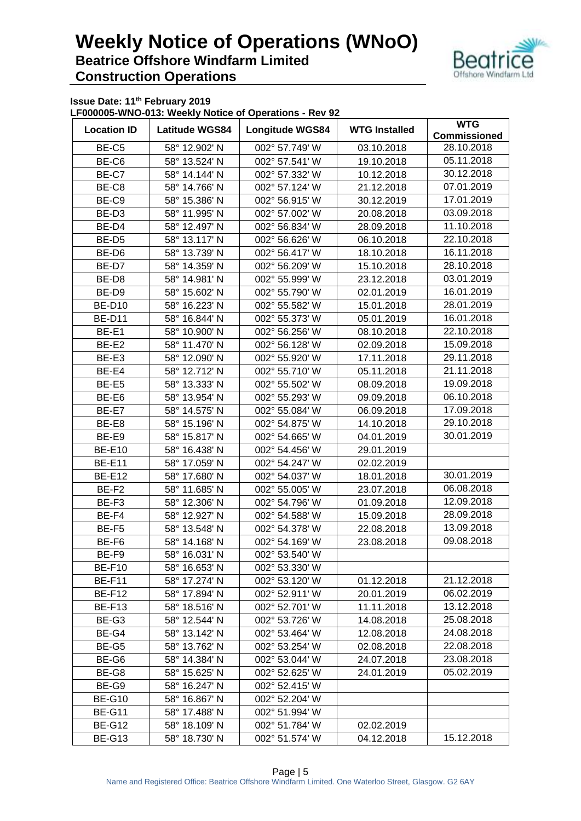

**Issue Date: 11th February 2019**

**LF000005-WNO-013: Weekly Notice of Operations - Rev 92**

| <b>Location ID</b> | <b>Latitude WGS84</b>          | <b>Longitude WGS84</b> | <b>WTG Installed</b> | <b>WTG</b><br><b>Commissioned</b> |  |
|--------------------|--------------------------------|------------------------|----------------------|-----------------------------------|--|
| BE-C5              | 58° 12.902' N                  | 002° 57.749' W         | 03.10.2018           | 28.10.2018                        |  |
| BE-C6              | 58° 13.524' N                  | 002° 57.541' W         | 19.10.2018           | 05.11.2018                        |  |
| BE-C7              | 58° 14.144' N                  | 002° 57.332' W         | 10.12.2018           | 30.12.2018                        |  |
| BE-C8              | 58° 14.766' N                  | 002° 57.124' W         | 21.12.2018           | 07.01.2019                        |  |
| BE-C9              | 58° 15.386' N                  | 002° 56.915' W         | 30.12.2019           | 17.01.2019                        |  |
| BE-D <sub>3</sub>  | 58° 11.995' N                  | 002° 57.002' W         | 20.08.2018           | 03.09.2018                        |  |
| BE-D4              | 58° 12.497' N                  | 002° 56.834' W         | 28.09.2018           | 11.10.2018                        |  |
| BE-D <sub>5</sub>  | 58° 13.117' N                  | 002° 56.626' W         | 06.10.2018           | 22.10.2018                        |  |
| BE-D6              | 58° 13.739' N                  | 002° 56.417' W         | 18.10.2018           | 16.11.2018                        |  |
| BE-D7              | 58° 14.359' N                  | 002° 56.209' W         | 15.10.2018           | 28.10.2018                        |  |
| BE-D8              | 58° 14.981' N                  | 002° 55.999' W         | 23.12.2018           | 03.01.2019                        |  |
| BE-D9              | 58° 15.602' N                  | 002° 55.790' W         | 02.01.2019           | 16.01.2019                        |  |
|                    | 58° 16.223' N                  | 002° 55.582' W         |                      | 28.01.2019                        |  |
| <b>BE-D10</b>      |                                | 002° 55.373' W         | 15.01.2018           | 16.01.2018                        |  |
| <b>BE-D11</b>      | 58° 16.844' N<br>58° 10.900' N |                        | 05.01.2019           | 22.10.2018                        |  |
| BE-E1              |                                | 002° 56.256' W         | 08.10.2018           | 15.09.2018                        |  |
| BE-E2              | 58° 11.470' N                  | 002° 56.128' W         | 02.09.2018           |                                   |  |
| BE-E3              | 58° 12.090' N                  | 002° 55.920' W         | 17.11.2018           | 29.11.2018                        |  |
| BE-E4              | 58° 12.712' N                  | 002° 55.710' W         | 05.11.2018           | 21.11.2018                        |  |
| BE-E5              | 58° 13.333' N                  | 002° 55.502' W         | 08.09.2018           | 19.09.2018                        |  |
| BE-E6              | 58° 13.954' N                  | 002° 55.293' W         | 09.09.2018           | 06.10.2018                        |  |
| BE-E7              | 58° 14.575' N                  | 002° 55.084' W         | 06.09.2018           | 17.09.2018                        |  |
| BE-E8              | 58° 15.196' N                  | 002° 54.875' W         | 14.10.2018           | 29.10.2018                        |  |
| BE-E9              | 58° 15.817' N                  | 002° 54.665' W         | 04.01.2019           | 30.01.2019                        |  |
| <b>BE-E10</b>      | 58° 16.438' N                  | 002° 54.456' W         | 29.01.2019           |                                   |  |
| <b>BE-E11</b>      | 58° 17.059' N                  | 002° 54.247' W         | 02.02.2019           |                                   |  |
| <b>BE-E12</b>      | 58° 17.680' N                  | 002° 54.037' W         | 18.01.2018           | 30.01.2019                        |  |
| BE-F2              | 58° 11.685' N                  | 002° 55.005' W         | 23.07.2018           | 06.08.2018                        |  |
| BE-F3              | 58° 12.306' N                  | 002° 54.796' W         | 01.09.2018           | 12.09.2018                        |  |
| BE-F4              | 58° 12.927' N                  | 002° 54.588' W         | 15.09.2018           | 28.09.2018                        |  |
| BE-F5              | 58° 13.548' N                  | 002° 54.378' W         | 22.08.2018           | 13.09.2018                        |  |
| BE-F6              | 58° 14.168' N                  | 002° 54.169' W         | 23.08.2018           | 09.08.2018                        |  |
| BE-F9              | 58° 16.031' N                  | 002° 53.540' W         |                      |                                   |  |
| <b>BE-F10</b>      | 58° 16.653' N                  | 002° 53.330' W         |                      |                                   |  |
| <b>BE-F11</b>      | 58° 17.274' N                  | 002° 53.120' W         | 01.12.2018           | 21.12.2018                        |  |
| <b>BE-F12</b>      | 58° 17.894' N                  | 002° 52.911' W         | 20.01.2019           | 06.02.2019                        |  |
| BE-F13             | 58° 18.516' N                  | 002° 52.701' W         | 11.11.2018           | 13.12.2018                        |  |
| BE-G3              | 58° 12.544' N                  | 002° 53.726' W         | 14.08.2018           | 25.08.2018                        |  |
| BE-G4              | 58° 13.142' N                  | 002° 53.464' W         | 12.08.2018           | 24.08.2018                        |  |
| BE-G5              | 58° 13.762' N                  | 002° 53.254' W         | 02.08.2018           | 22.08.2018                        |  |
| BE-G6              | 58° 14.384' N                  | 002° 53.044' W         | 24.07.2018           | 23.08.2018                        |  |
| BE-G8              | 58° 15.625' N                  | 002° 52.625' W         | 24.01.2019           | 05.02.2019                        |  |
| BE-G9              | 58° 16.247' N                  | 002° 52.415' W         |                      |                                   |  |
| <b>BE-G10</b>      | 58° 16.867' N                  | 002° 52.204' W         |                      |                                   |  |
| <b>BE-G11</b>      | 58° 17.488' N                  | 002° 51.994' W         |                      |                                   |  |
| <b>BE-G12</b>      | 58° 18.109' N                  | 002° 51.784' W         | 02.02.2019           |                                   |  |
| <b>BE-G13</b>      | 58° 18.730' N                  | 002° 51.574' W         | 04.12.2018           | 15.12.2018                        |  |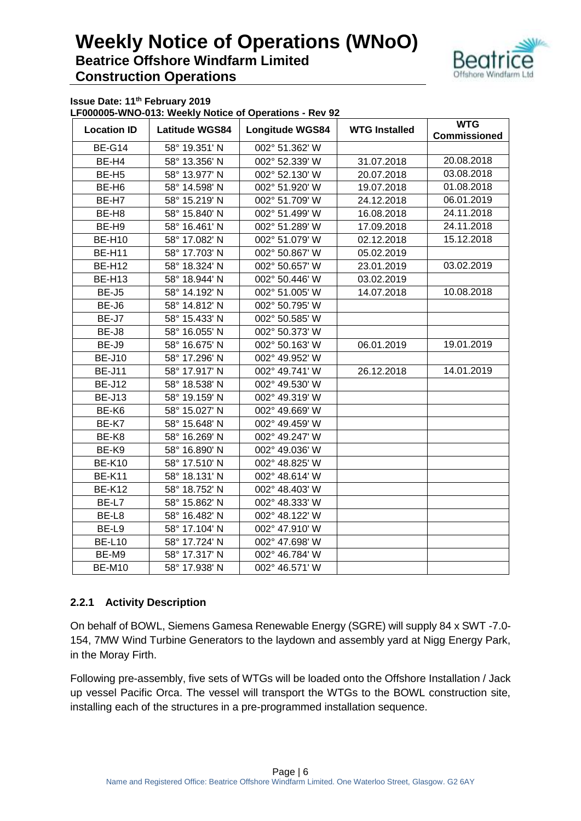

**Issue Date: 11th February 2019**

**LF000005-WNO-013: Weekly Notice of Operations - Rev 92**

| <b>Location ID</b> | $\ldots$<br><b>Latitude WGS84</b> | <b>Longitude WGS84</b> | <b>WTG Installed</b> | <b>WTG</b><br><b>Commissioned</b> |
|--------------------|-----------------------------------|------------------------|----------------------|-----------------------------------|
| <b>BE-G14</b>      | 58° 19.351' N                     | 002° 51.362' W         |                      |                                   |
| BE-H4              | 58° 13.356' N                     | 002° 52.339' W         | 31.07.2018           | 20.08.2018                        |
| BE-H <sub>5</sub>  | 58° 13.977' N                     | 002° 52.130' W         | 20.07.2018           | 03.08.2018                        |
| BE-H <sub>6</sub>  | 58° 14.598' N                     | 002° 51.920' W         | 19.07.2018           | 01.08.2018                        |
| BE-H7              | 58° 15.219' N                     | 002° 51.709' W         | 24.12.2018           | 06.01.2019                        |
| BE-H <sub>8</sub>  | 58° 15.840' N                     | 002° 51.499' W         | 16.08.2018           | 24.11.2018                        |
| BE-H9              | 58° 16.461' N                     | 002° 51.289' W         | 17.09.2018           | 24.11.2018                        |
| <b>BE-H10</b>      | 58° 17.082' N                     | 002° 51.079' W         | 02.12.2018           | 15.12.2018                        |
| <b>BE-H11</b>      | 58° 17.703' N                     | 002° 50.867' W         | 05.02.2019           |                                   |
| <b>BE-H12</b>      | 58° 18.324' N                     | 002° 50.657' W         | 23.01.2019           | 03.02.2019                        |
| <b>BE-H13</b>      | 58° 18.944' N                     | 002° 50.446' W         | 03.02.2019           |                                   |
| BE-J5              | 58° 14.192' N                     | 002° 51.005' W         | 14.07.2018           | 10.08.2018                        |
| BE-J6              | 58° 14.812' N                     | 002° 50.795' W         |                      |                                   |
| BE-J7              | 58° 15.433' N                     | 002° 50.585' W         |                      |                                   |
| BE-J8              | 58° 16.055' N                     | 002° 50.373' W         |                      |                                   |
| BE-J9              | 58° 16.675' N                     | 002° 50.163' W         | 06.01.2019           | 19.01.2019                        |
| <b>BE-J10</b>      | 58° 17.296' N                     | 002° 49.952' W         |                      |                                   |
| <b>BE-J11</b>      | 58° 17.917' N                     | 002° 49.741' W         | 26.12.2018           | 14.01.2019                        |
| <b>BE-J12</b>      | 58° 18.538' N                     | 002° 49.530' W         |                      |                                   |
| <b>BE-J13</b>      | 58° 19.159' N                     | 002° 49.319' W         |                      |                                   |
| BE-K6              | 58° 15.027' N                     | 002° 49.669' W         |                      |                                   |
| BE-K7              | 58° 15.648' N                     | 002° 49.459' W         |                      |                                   |
| BE-K8              | 58° 16.269' N                     | 002° 49.247' W         |                      |                                   |
| BE-K9              | 58° 16.890' N                     | 002° 49.036' W         |                      |                                   |
| <b>BE-K10</b>      | 58° 17.510' N                     | 002° 48.825' W         |                      |                                   |
| <b>BE-K11</b>      | 58° 18.131' N                     | 002° 48.614' W         |                      |                                   |
| <b>BE-K12</b>      | 58° 18.752' N                     | 002° 48.403' W         |                      |                                   |
| BE-L7              | 58° 15.862' N                     | 002° 48.333' W         |                      |                                   |
| BE-L8              | 58° 16.482' N                     | 002° 48.122' W         |                      |                                   |
| BE-L9              | 58° 17.104' N                     | 002° 47.910' W         |                      |                                   |
| <b>BE-L10</b>      | 58° 17.724' N                     | 002° 47.698' W         |                      |                                   |
| BE-M9              | 58° 17.317' N                     | 002° 46.784' W         |                      |                                   |
| <b>BE-M10</b>      | 58° 17.938' N                     | 002° 46.571' W         |                      |                                   |

### **2.2.1 Activity Description**

On behalf of BOWL, Siemens Gamesa Renewable Energy (SGRE) will supply 84 x SWT -7.0- 154, 7MW Wind Turbine Generators to the laydown and assembly yard at Nigg Energy Park, in the Moray Firth.

Following pre-assembly, five sets of WTGs will be loaded onto the Offshore Installation / Jack up vessel Pacific Orca. The vessel will transport the WTGs to the BOWL construction site, installing each of the structures in a pre-programmed installation sequence.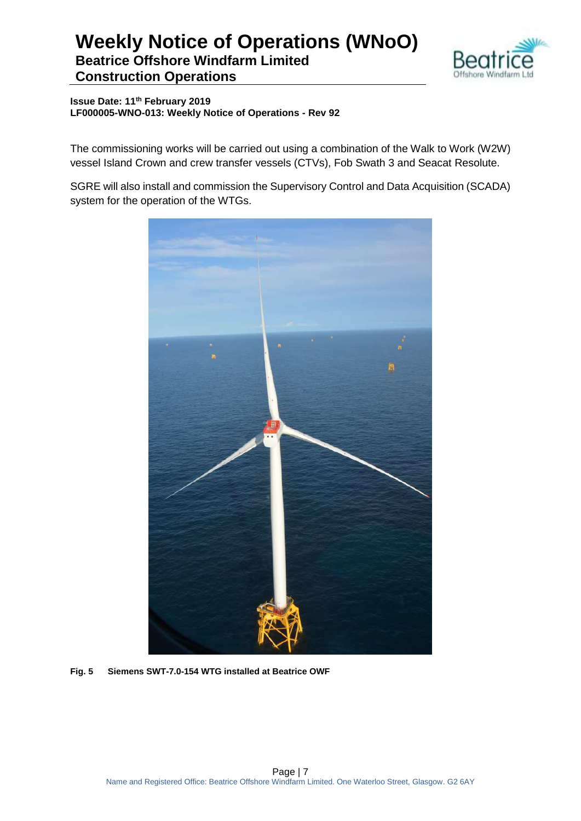

**Issue Date: 11th February 2019 LF000005-WNO-013: Weekly Notice of Operations - Rev 92**

The commissioning works will be carried out using a combination of the Walk to Work (W2W) vessel Island Crown and crew transfer vessels (CTVs), Fob Swath 3 and Seacat Resolute.

SGRE will also install and commission the Supervisory Control and Data Acquisition (SCADA) system for the operation of the WTGs.



**Fig. 5 Siemens SWT-7.0-154 WTG installed at Beatrice OWF**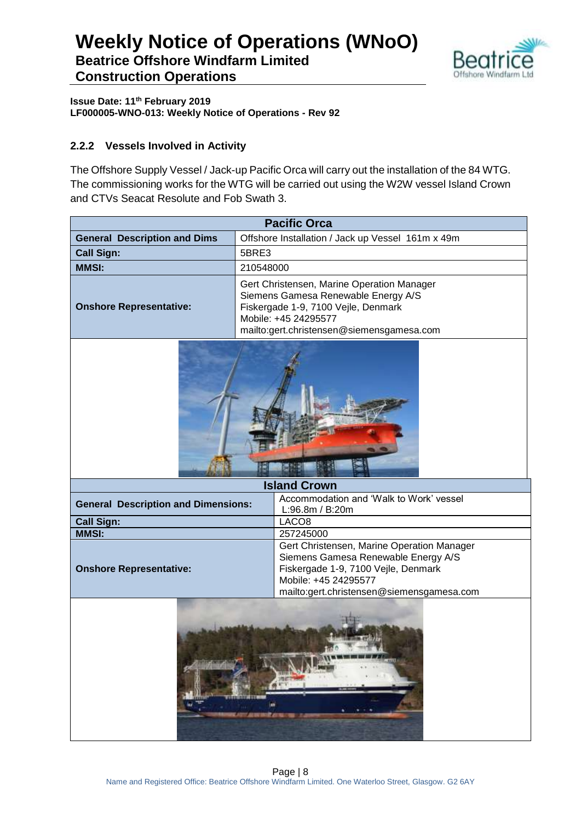

**Issue Date: 11th February 2019 LF000005-WNO-013: Weekly Notice of Operations - Rev 92**

### **2.2.2 Vessels Involved in Activity**

The Offshore Supply Vessel / Jack-up Pacific Orca will carry out the installation of the 84 WTG. The commissioning works for the WTG will be carried out using the W2W vessel Island Crown and CTVs Seacat Resolute and Fob Swath 3.

| <b>Pacific Orca</b>                                       |                                                                                                                                                                                               |  |  |  |
|-----------------------------------------------------------|-----------------------------------------------------------------------------------------------------------------------------------------------------------------------------------------------|--|--|--|
| <b>General Description and Dims</b>                       | Offshore Installation / Jack up Vessel 161m x 49m                                                                                                                                             |  |  |  |
| <b>Call Sign:</b>                                         | 5BRE3                                                                                                                                                                                         |  |  |  |
| <b>MMSI:</b>                                              | 210548000                                                                                                                                                                                     |  |  |  |
| <b>Onshore Representative:</b>                            | Gert Christensen, Marine Operation Manager<br>Siemens Gamesa Renewable Energy A/S<br>Fiskergade 1-9, 7100 Vejle, Denmark<br>Mobile: +45 24295577<br>mailto:gert.christensen@siemensgamesa.com |  |  |  |
|                                                           |                                                                                                                                                                                               |  |  |  |
|                                                           | <b>Island Crown</b>                                                                                                                                                                           |  |  |  |
| <b>General Description and Dimensions:</b>                | Accommodation and 'Walk to Work' vessel<br>L:96.8m / B:20m                                                                                                                                    |  |  |  |
| <b>Call Sign:</b>                                         | LACO <sub>8</sub>                                                                                                                                                                             |  |  |  |
| <b>MMSI:</b>                                              | 257245000                                                                                                                                                                                     |  |  |  |
| <b>Onshore Representative:</b>                            | Gert Christensen, Marine Operation Manager<br>Siemens Gamesa Renewable Energy A/S<br>Fiskergade 1-9, 7100 Vejle, Denmark<br>Mobile: +45 24295577                                              |  |  |  |
| mailto:gert.christensen@siemensgamesa.com<br>de partie de |                                                                                                                                                                                               |  |  |  |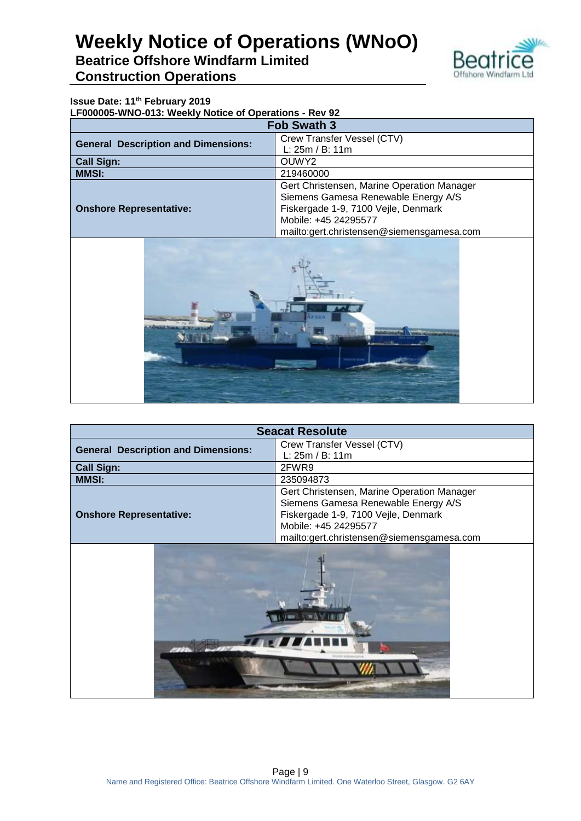

### **Issue Date: 11th February 2019**

**LF000005-WNO-013: Weekly Notice of Operations - Rev 92**

| <b>Fob Swath 3</b>                         |                                            |  |  |
|--------------------------------------------|--------------------------------------------|--|--|
| <b>General Description and Dimensions:</b> | Crew Transfer Vessel (CTV)                 |  |  |
|                                            | L: 25m / B: 11m                            |  |  |
| <b>Call Sign:</b><br>OUWY <sub>2</sub>     |                                            |  |  |
| <b>MMSI:</b>                               | 219460000                                  |  |  |
|                                            | Gert Christensen, Marine Operation Manager |  |  |
|                                            | Siemens Gamesa Renewable Energy A/S        |  |  |
| <b>Onshore Representative:</b>             | Fiskergade 1-9, 7100 Vejle, Denmark        |  |  |
|                                            | Mobile: +45 24295577                       |  |  |
|                                            | mailto:gert.christensen@siemensgamesa.com  |  |  |



| <b>Seacat Resolute</b>                     |                                            |  |  |
|--------------------------------------------|--------------------------------------------|--|--|
| <b>General Description and Dimensions:</b> | Crew Transfer Vessel (CTV)                 |  |  |
|                                            | L: 25m / B: 11m                            |  |  |
| <b>Call Sign:</b>                          | 2FWR9                                      |  |  |
| <b>MMSI:</b>                               | 235094873                                  |  |  |
|                                            | Gert Christensen, Marine Operation Manager |  |  |
|                                            | Siemens Gamesa Renewable Energy A/S        |  |  |
| <b>Onshore Representative:</b>             | Fiskergade 1-9, 7100 Vejle, Denmark        |  |  |
|                                            | Mobile: +45 24295577                       |  |  |
|                                            | mailto:gert.christensen@siemensgamesa.com  |  |  |
|                                            |                                            |  |  |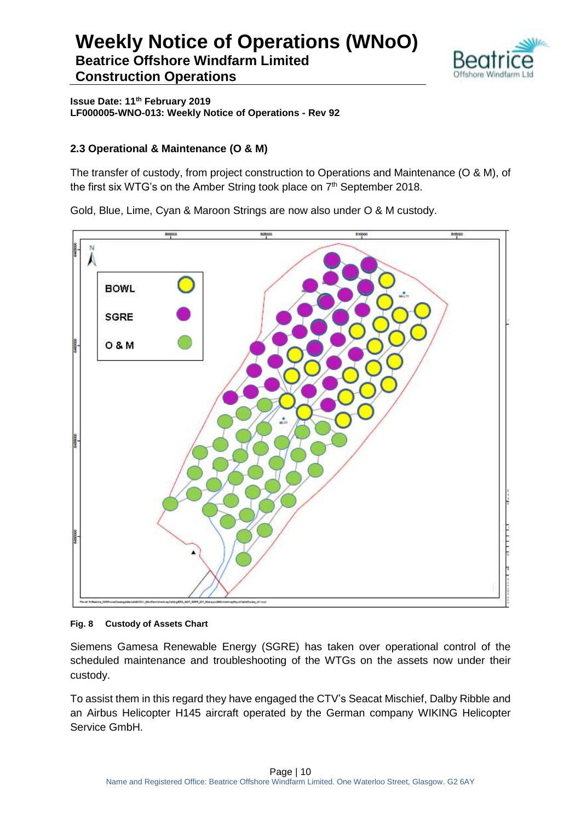

**Issue Date: 11th February 2019 LF000005-WNO-013: Weekly Notice of Operations - Rev 92**

### **2.3 Operational & Maintenance (O & M)**

The transfer of custody, from project construction to Operations and Maintenance (O & M), of the first six WTG's on the Amber String took place on 7<sup>th</sup> September 2018.

Gold, Blue, Lime, Cyan & Maroon Strings are now also under O & M custody.



#### **Fig. 8 Custody of Assets Chart**

Siemens Gamesa Renewable Energy (SGRE) has taken over operational control of the scheduled maintenance and troubleshooting of the WTGs on the assets now under their custody.

To assist them in this regard they have engaged the CTV's Seacat Mischief, Dalby Ribble and an Airbus Helicopter H145 aircraft operated by the German company WIKING Helicopter Service GmbH.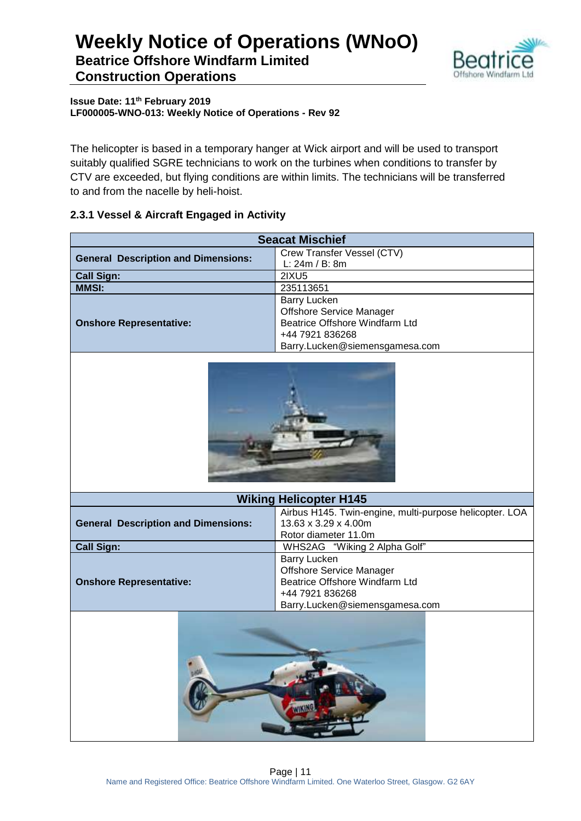

**Issue Date: 11th February 2019 LF000005-WNO-013: Weekly Notice of Operations - Rev 92**

The helicopter is based in a temporary hanger at Wick airport and will be used to transport suitably qualified SGRE technicians to work on the turbines when conditions to transfer by CTV are exceeded, but flying conditions are within limits. The technicians will be transferred to and from the nacelle by heli-hoist.

### **2.3.1 Vessel & Aircraft Engaged in Activity**

| <b>Seacat Mischief</b>                     |                                                         |  |  |  |
|--------------------------------------------|---------------------------------------------------------|--|--|--|
| <b>General Description and Dimensions:</b> | Crew Transfer Vessel (CTV)                              |  |  |  |
|                                            | L: 24m / B: 8m                                          |  |  |  |
| <b>Call Sign:</b>                          | <b>2IXU5</b>                                            |  |  |  |
| <b>MMSI:</b>                               | 235113651                                               |  |  |  |
|                                            | <b>Barry Lucken</b>                                     |  |  |  |
|                                            | Offshore Service Manager                                |  |  |  |
| <b>Onshore Representative:</b>             | Beatrice Offshore Windfarm Ltd                          |  |  |  |
|                                            | +44 7921 836268                                         |  |  |  |
|                                            | Barry.Lucken@siemensgamesa.com                          |  |  |  |
|                                            |                                                         |  |  |  |
|                                            | <b>Wiking Helicopter H145</b>                           |  |  |  |
|                                            | Airbus H145. Twin-engine, multi-purpose helicopter. LOA |  |  |  |
| <b>General Description and Dimensions:</b> | 13.63 x 3.29 x 4.00m                                    |  |  |  |
|                                            | Rotor diameter 11.0m                                    |  |  |  |
| <b>Call Sign:</b>                          | WHS2AG "Wiking 2 Alpha Golf"                            |  |  |  |
|                                            | <b>Barry Lucken</b>                                     |  |  |  |
|                                            | <b>Offshore Service Manager</b>                         |  |  |  |
| <b>Onshore Representative:</b>             | Beatrice Offshore Windfarm Ltd<br>+44 7921 836268       |  |  |  |
|                                            | Barry.Lucken@siemensgamesa.com                          |  |  |  |
|                                            |                                                         |  |  |  |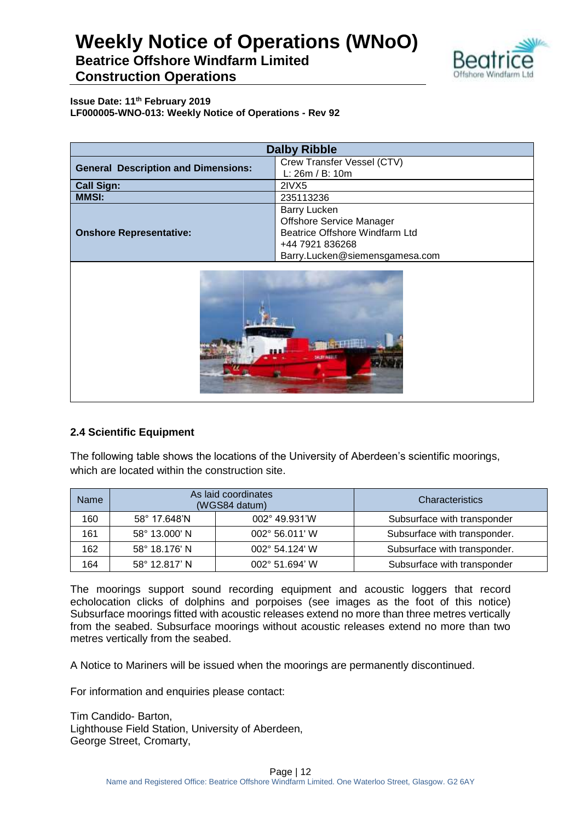

**Issue Date: 11th February 2019 LF000005-WNO-013: Weekly Notice of Operations - Rev 92**

| <b>Dalby Ribble</b>                        |                                                                                                                                               |  |  |
|--------------------------------------------|-----------------------------------------------------------------------------------------------------------------------------------------------|--|--|
| <b>General Description and Dimensions:</b> | Crew Transfer Vessel (CTV)<br>L: 26m / B: 10m                                                                                                 |  |  |
| <b>Call Sign:</b><br>2IVX5                 |                                                                                                                                               |  |  |
| <b>MMSI:</b>                               | 235113236                                                                                                                                     |  |  |
| <b>Onshore Representative:</b>             | <b>Barry Lucken</b><br><b>Offshore Service Manager</b><br>Beatrice Offshore Windfarm Ltd<br>+44 7921 836268<br>Barry.Lucken@siemensgamesa.com |  |  |



### **2.4 Scientific Equipment**

The following table shows the locations of the University of Aberdeen's scientific moorings, which are located within the construction site.

| <b>Name</b> | As laid coordinates<br>(WGS84 datum)     |                | Characteristics              |
|-------------|------------------------------------------|----------------|------------------------------|
| 160         | 002° 49.931'W<br>58° 17.648'N            |                | Subsurface with transponder  |
| 161         | 58° 13.000' N<br>002° 56.011' W          |                | Subsurface with transponder. |
| 162         | 58° 18.176' N<br>$002^{\circ}$ 54.124' W |                | Subsurface with transponder. |
| 164         | 58° 12.817' N                            | 002° 51.694' W | Subsurface with transponder  |

The moorings support sound recording equipment and acoustic loggers that record echolocation clicks of dolphins and porpoises (see images as the foot of this notice) Subsurface moorings fitted with acoustic releases extend no more than three metres vertically from the seabed. Subsurface moorings without acoustic releases extend no more than two metres vertically from the seabed.

A Notice to Mariners will be issued when the moorings are permanently discontinued.

For information and enquiries please contact:

Tim Candido- Barton, Lighthouse Field Station, University of Aberdeen, George Street, Cromarty,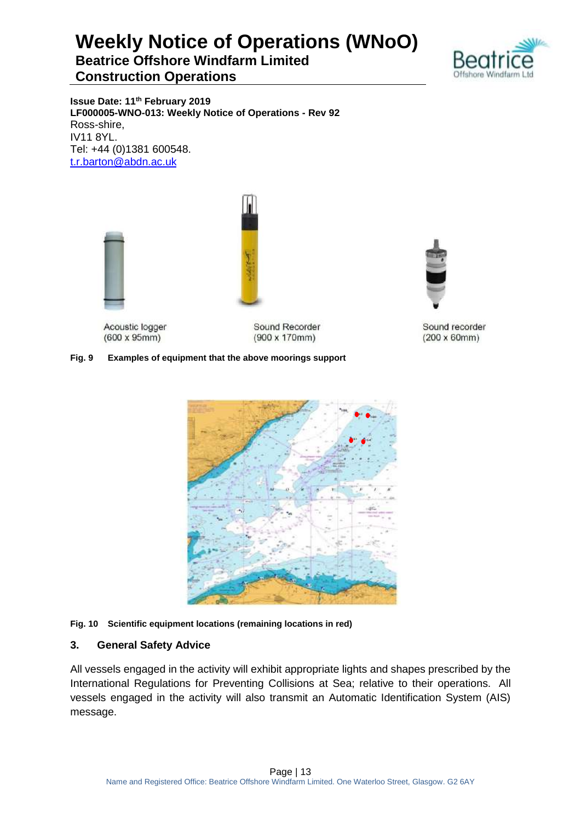

**Issue Date: 11th February 2019 LF000005-WNO-013: Weekly Notice of Operations - Rev 92** Ross-shire, IV11 8YL. Tel: +44 (0)1381 600548. [t.r.barton@abdn.ac.uk](mailto:t.r.barton@abdn.ac.uk)



Acoustic logger  $(600 \times 95 \text{mm})$ 

Sound Recorder  $(900 \times 170$ mm)

### **Fig. 9 Examples of equipment that the above moorings support**



#### **Fig. 10 Scientific equipment locations (remaining locations in red)**

### **3. General Safety Advice**

All vessels engaged in the activity will exhibit appropriate lights and shapes prescribed by the International Regulations for Preventing Collisions at Sea; relative to their operations. All vessels engaged in the activity will also transmit an Automatic Identification System (AIS) message.



Sound recorder  $(200 \times 60$ mm $)$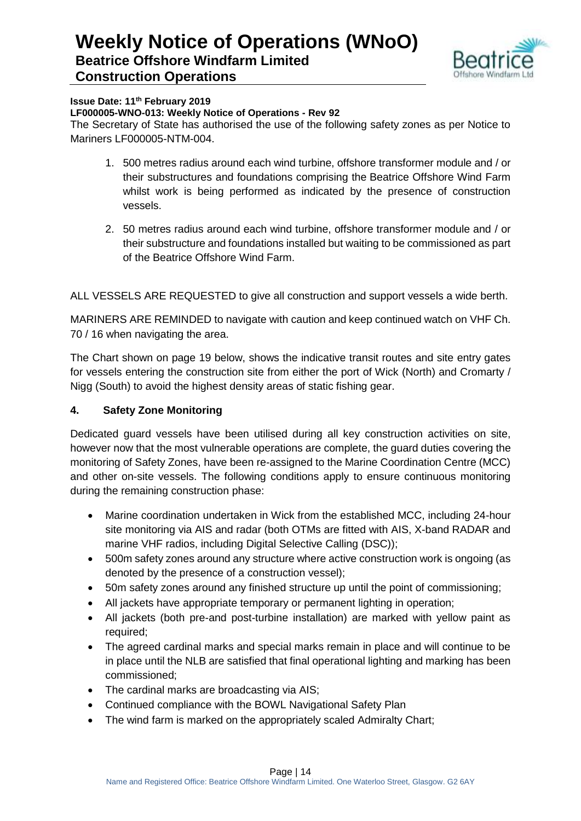

#### **Issue Date: 11th February 2019**

#### **LF000005-WNO-013: Weekly Notice of Operations - Rev 92**

The Secretary of State has authorised the use of the following safety zones as per Notice to Mariners LF000005-NTM-004.

- 1. 500 metres radius around each wind turbine, offshore transformer module and / or their substructures and foundations comprising the Beatrice Offshore Wind Farm whilst work is being performed as indicated by the presence of construction vessels.
- 2. 50 metres radius around each wind turbine, offshore transformer module and / or their substructure and foundations installed but waiting to be commissioned as part of the Beatrice Offshore Wind Farm.

ALL VESSELS ARE REQUESTED to give all construction and support vessels a wide berth.

MARINERS ARE REMINDED to navigate with caution and keep continued watch on VHF Ch. 70 / 16 when navigating the area.

The Chart shown on page 19 below, shows the indicative transit routes and site entry gates for vessels entering the construction site from either the port of Wick (North) and Cromarty / Nigg (South) to avoid the highest density areas of static fishing gear.

### **4. Safety Zone Monitoring**

Dedicated guard vessels have been utilised during all key construction activities on site, however now that the most vulnerable operations are complete, the guard duties covering the monitoring of Safety Zones, have been re-assigned to the Marine Coordination Centre (MCC) and other on-site vessels. The following conditions apply to ensure continuous monitoring during the remaining construction phase:

- Marine coordination undertaken in Wick from the established MCC, including 24-hour site monitoring via AIS and radar (both OTMs are fitted with AIS, X-band RADAR and marine VHF radios, including Digital Selective Calling (DSC));
- 500m safety zones around any structure where active construction work is ongoing (as denoted by the presence of a construction vessel);
- 50m safety zones around any finished structure up until the point of commissioning;
- All jackets have appropriate temporary or permanent lighting in operation;
- All jackets (both pre-and post-turbine installation) are marked with yellow paint as required;
- The agreed cardinal marks and special marks remain in place and will continue to be in place until the NLB are satisfied that final operational lighting and marking has been commissioned;
- The cardinal marks are broadcasting via AIS;
- Continued compliance with the BOWL Navigational Safety Plan
- The wind farm is marked on the appropriately scaled Admiralty Chart;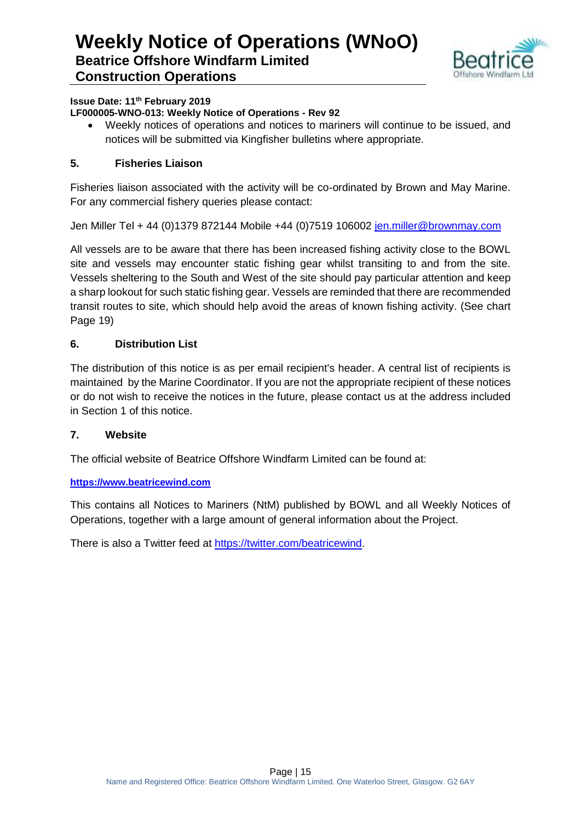

### **Issue Date: 11th February 2019**

### **LF000005-WNO-013: Weekly Notice of Operations - Rev 92**

 Weekly notices of operations and notices to mariners will continue to be issued, and notices will be submitted via Kingfisher bulletins where appropriate.

### **5. Fisheries Liaison**

Fisheries liaison associated with the activity will be co-ordinated by Brown and May Marine. For any commercial fishery queries please contact:

Jen Miller Tel + 44 (0)1379 872144 Mobile +44 (0)7519 106002 [jen.miller@brownmay.com](mailto:jen.miller@brownmay.com)

All vessels are to be aware that there has been increased fishing activity close to the BOWL site and vessels may encounter static fishing gear whilst transiting to and from the site. Vessels sheltering to the South and West of the site should pay particular attention and keep a sharp lookout for such static fishing gear. Vessels are reminded that there are recommended transit routes to site, which should help avoid the areas of known fishing activity. (See chart Page 19)

### **6. Distribution List**

The distribution of this notice is as per email recipient's header. A central list of recipients is maintained by the Marine Coordinator. If you are not the appropriate recipient of these notices or do not wish to receive the notices in the future, please contact us at the address included in Section 1 of this notice.

### **7. Website**

The official website of Beatrice Offshore Windfarm Limited can be found at:

### **[https://www.beatricewind.com](https://www.beatricewind.com/)**

This contains all Notices to Mariners (NtM) published by BOWL and all Weekly Notices of Operations, together with a large amount of general information about the Project.

There is also a Twitter feed at [https://twitter.com/beatricewind.](https://twitter.com/beatricewind)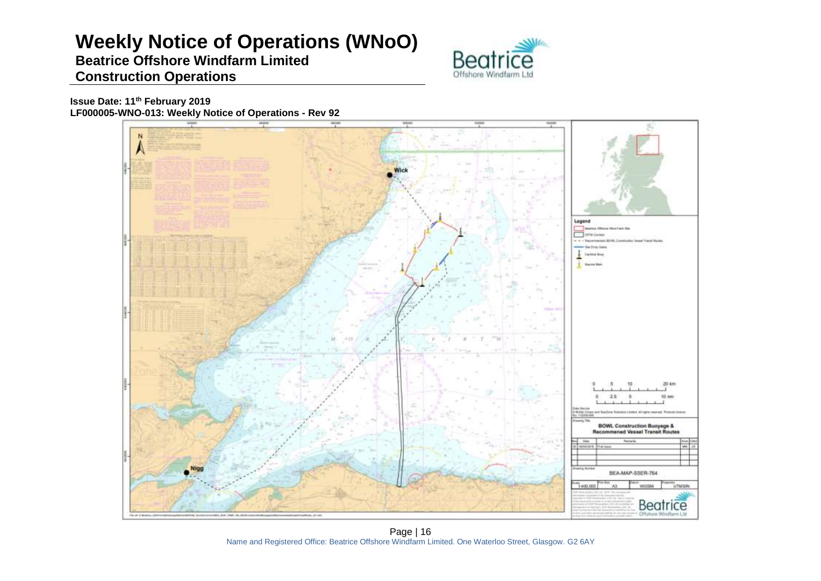# **Weekly Notice of Operations (WNoO)**

### **Beatrice Offshore Windfarm Limited Construction Operations**



**Issue Date: 11th February 2019 LF000005-WNO-013: Weekly Notice of Operations - Rev 92**



Page | 16 Name and Registered Office: Beatrice Offshore Windfarm Limited. One Waterloo Street, Glasgow. G2 6AY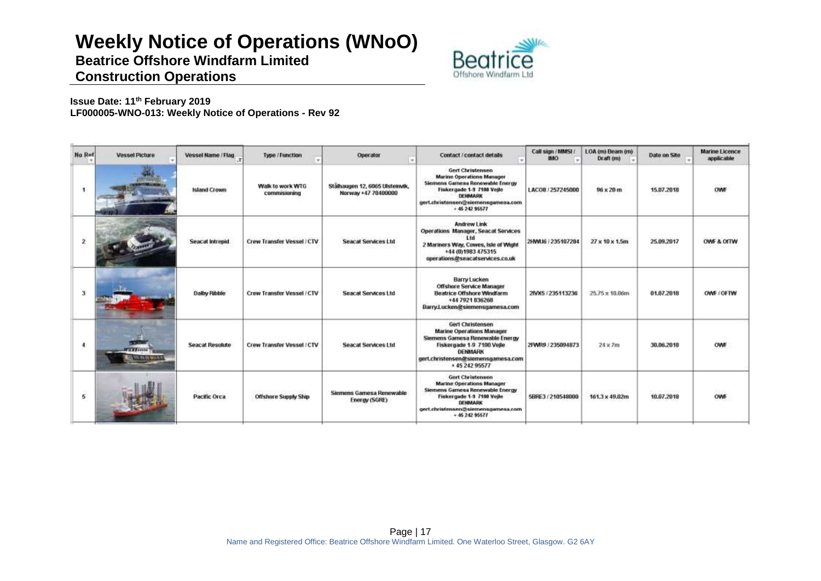# **Weekly Notice of Operations (WNoO)**

**Beatrice Offshore Windfarm Limited**



# **Construction Operations**

**Issue Date: 11th February 2019 LF000005-WNO-013: Weekly Notice of Operations - Rev 92**

| No Ref        | <b>Vessel Picture</b>                    | Vessel Name / Flag     | Type / Function                   | Operator                                               | <b>Contact / contact details</b>                                                                                                                                                                | Call sign / MMSt /<br>IMO. | LOA (m) Beam (m)<br>Draft (m)  | Date on Site                   | Marine Licence<br>applicable |
|---------------|------------------------------------------|------------------------|-----------------------------------|--------------------------------------------------------|-------------------------------------------------------------------------------------------------------------------------------------------------------------------------------------------------|----------------------------|--------------------------------|--------------------------------|------------------------------|
|               | <b>HAVE</b>                              | <b>Island Crown</b>    | Walk to work WTG<br>commissioning | Stälhaugen 12, 6065 Ulsteinvik,<br>Norway +47 70400000 | <b>Gert Christensen</b><br><b>Marine Operations Manager</b><br>Siemens Gamesa Renewable Energy<br>Fiskergade 1-9 7100 Veile<br>DEHMARK<br>gert.christensen@siemensgamesa.com<br>$+ 45242$ 95577 | LACO8 / 257245000          | CHAN CROCK<br>$96 \times 20$ m | 15.07.2018                     | OWF                          |
|               |                                          | <b>Seacat Intrepid</b> | Crew Transfer Vessel / CTV        | <b>Seacat Services Ltd</b>                             | <b>Andrew Link</b><br>Operations Manager, Seacat Services<br>2 Mariners Way, Cowes, Isle of Wight<br>+44 (0) 1983 475315<br>operations@seacatservices.co.uk                                     | 2HWU6 / 235107284          | 27 x 10 x 1.5m                 | 25.09.2017                     | OWF & OITW                   |
| $\mathcal{X}$ |                                          | Dalby Ribble           | <b>Crew Transfer Vessel / CTV</b> | <b>Seacat Services Ltd</b>                             | <b>Barry Lucken</b><br><b>Offshore Service Manager</b><br><b>Beatrice Offshore Windfarm</b><br>+44 7921 836268<br>Barry Lucken@siemensgamesa.com                                                | 2MX5/235113236             | 25.75 x 10.06m                 | 01.07.2018                     | OWE COFTW                    |
| 4             | <b>TY 77 STORE</b><br>THE VAL NOTA 15.19 | <b>Seacat Resolute</b> | Crew Transfer Vessel / CTV        | <b>Seacat Services Ltd</b>                             | Gert Christensen<br><b>Marine Operations Manager</b><br>Siemens Gamesa Renewable Energy<br>Fiskergade 1-9 7100 Vejle<br><b>DENMARK</b><br>gert.christensen@siemensgamesa.com<br>+45 242 95577   | 2FWR9.7235094873           | 24 x 7m                        | 38.06.2018                     | OWF                          |
| 5             |                                          | <b>Pacific Orca</b>    | <b>Offshore Supply Ship</b>       | Siemens Gamesa Renewable<br>Energy (SGRE)              | <b>Gert Christensen</b><br><b>Marine Operations Manager</b><br>Siemens Gamesa Renewable Energy<br>Fiskergade 1-3 7100 Veile<br>DENMARK<br>gert.christensen@siemensgamesa.com<br>$+4624295677$   | 5BRE3 / 210548000          | 161.3 x 49.02m                 | 2010/08/19:02:20<br>10.07.2018 | OWF                          |